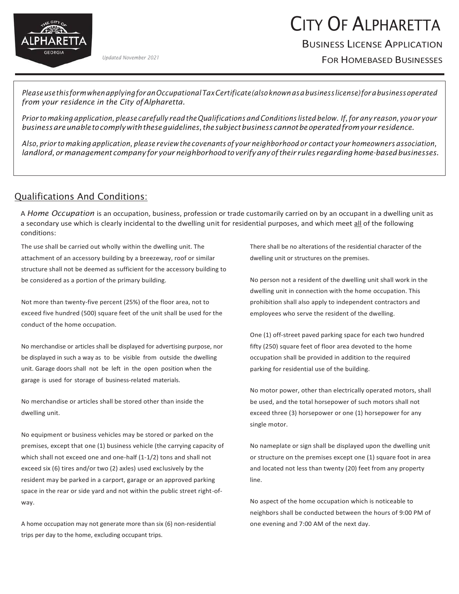

# CITY OF ALPHARETTA

# BUSINESS LICENSE APPLICATION

FOR HOMEBASED BUSINESSES *Updated November 2021*

*PleaseusethisformwhenapplyingforanOccupationalTaxCertificate(alsoknownasabusinesslicense)forabusinessoperated from your residence in the City ofAlpharetta.*

*Prior to making application,please carefully readtheQualifications andConditions listedbelow. If,forany reason, youor your businessareunabletocomplywiththeseguidelines,thesubjectbusinesscannotbeoperatedfromyourresidence.*

Also, prior to making application, please review the covenants of your neighborhood or contact your homeowners association, *landlord,ormanagement companyforyourneighborhoodtoverifyanyoftheir rules regardinghome-basedbusinesses.*

#### Qualifications And Conditions:

A *Home Occupation* is an occupation, business, profession or trade customarily carried on by an occupant in a dwelling unit as a secondary use which is clearly incidental to the dwelling unit for residential purposes, and which meet all of the following conditions:

The use shall be carried out wholly within the dwelling unit. The attachment of an accessory building by a breezeway, roof or similar structure shall not be deemed as sufficient for the accessory building to be considered as a portion of the primary building.

Not more than twenty-five percent (25%) of the floor area, not to exceed five hundred (500) square feet of the unit shall be used for the conduct of the home occupation.

No merchandise or articles shall be displayed for advertising purpose, nor be displayed in such a way as to be visible from outside the dwelling unit. Garage doors shall not be left in the open position when the garage is used for storage of business-related materials.

No merchandise or articles shall be stored other than inside the dwelling unit.

No equipment or business vehicles may be stored or parked on the premises, except that one (1) business vehicle (the carrying capacity of which shall not exceed one and one-half (1-1/2) tons and shall not exceed six (6) tires and/or two (2) axles) used exclusively by the resident may be parked in a carport, garage or an approved parking space in the rear or side yard and not within the public street right-ofway.

A home occupation may not generate more than six (6) non-residential trips per day to the home, excluding occupant trips.

There shall be no alterations of the residential character of the dwelling unit or structures on the premises.

No person not a resident of the dwelling unit shall work in the dwelling unit in connection with the home occupation. This prohibition shall also apply to independent contractors and employees who serve the resident of the dwelling.

One (1) off-street paved parking space for each two hundred fifty (250) square feet of floor area devoted to the home occupation shall be provided in addition to the required parking for residential use of the building.

No motor power, other than electrically operated motors, shall be used, and the total horsepower of such motors shall not exceed three (3) horsepower or one (1) horsepower for any single motor.

No nameplate or sign shall be displayed upon the dwelling unit or structure on the premises except one (1) square foot in area and located not less than twenty (20) feet from any property line.

No aspect of the home occupation which is noticeable to neighbors shall be conducted between the hours of 9:00 PM of one evening and 7:00 AM of the next day.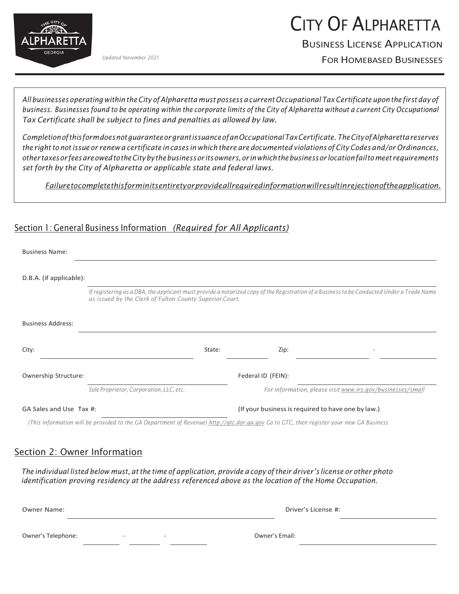

# CITY OF ALPHARETTA

# BUSINESS LICENSE APPLICATION

FOR HOMEBASED BUSINESSES *Updated November 2021*

All businesses operating within the City of Alpharetta must possess a current Occupational Tax Certificate upon the first day of business. Businesses found to be operating within the corporate limits of the City of Alpharetta without a current City Occupational *Tax Certificate shall be subject to fines and penalties as allowed by law.*

*CompletionofthisformdoesnotguaranteeorgrantissuanceofanOccupationalTaxCertificate. TheCityofAlpharettareserves*  the right to not issue or renew a certificate in cases in which there are documented violations of City Codes and/or Ordinances, *othertaxesorfeesareowedtotheCitybythebusinessor itsowners,orinwhichthebusinessor locationfailtomeet requirements set forth by the City of Alpharetta or applicable state and federal laws.*

*Failuretocompletethisforminitsentiretyorprovideallrequiredinformationwillresultinrejectionoftheapplication.*

### Section 1: General Business Information *(Required for All Applicants)*

| <b>Business Name:</b>    |                                                                                                                                                                                                      |        |                    |                                                            |  |
|--------------------------|------------------------------------------------------------------------------------------------------------------------------------------------------------------------------------------------------|--------|--------------------|------------------------------------------------------------|--|
| D.B.A. (if applicable):  |                                                                                                                                                                                                      |        |                    |                                                            |  |
|                          | If registering as a DBA, the applicant must provide a notarized copy of the Registration of a Business to be Conducted Under a Trade Name<br>as issued by the Clerk of Fulton County Superior Court. |        |                    |                                                            |  |
| <b>Business Address:</b> |                                                                                                                                                                                                      |        |                    |                                                            |  |
| City:                    |                                                                                                                                                                                                      | State: | Zip:               |                                                            |  |
| Ownership Structure:     |                                                                                                                                                                                                      |        | Federal ID (FEIN): |                                                            |  |
|                          | Sole Proprietor, Corporation, LLC, etc.                                                                                                                                                              |        |                    | For information, please visit www.irs.gov/businesses/small |  |
| GA Sales and Use Tax #:  |                                                                                                                                                                                                      |        |                    | (If your business is required to have one by law.)         |  |

*(This information will be provided to the GA Department of Revenue) [http://gtc.dor.ga.gov](http://gtc.dor.ga.gov/) Go to GTC, then register your new GA Business*

### Section 2: Owner Information

The individual listed below must, at the time of application, provide a copy of their driver's license or other photo *identification proving residency at the address referenced above as the location of the Home Occupation.*

| Owner Name:                            | Driver's License #: |
|----------------------------------------|---------------------|
| Owner's Telephone:<br>$\sim$<br>$\sim$ | Owner's Email:      |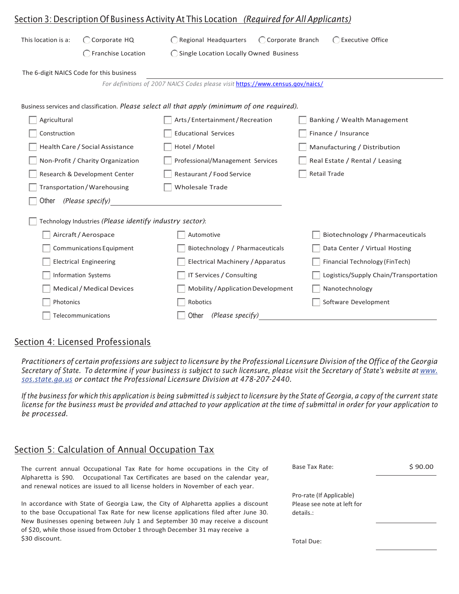| <u><b>Section 3: Description Of Business Activity At This Location (Required for All Applicants)</b></u> |                                      |                                                                                           |                                       |  |  |
|----------------------------------------------------------------------------------------------------------|--------------------------------------|-------------------------------------------------------------------------------------------|---------------------------------------|--|--|
| This location is a:                                                                                      | ◯ Corporate HQ<br>Franchise Location | ◯ Regional Headquarters<br>◯ Corporate Branch<br>◯ Single Location Locally Owned Business | ◯ Executive Office                    |  |  |
| The 6-digit NAICS Code for this business                                                                 |                                      |                                                                                           |                                       |  |  |
|                                                                                                          |                                      | For definitions of 2007 NAICS Codes please visit https://www.census.gov/naics/            |                                       |  |  |
| Business services and classification. Please select all that apply (minimum of one required).            |                                      |                                                                                           |                                       |  |  |
| Agricultural                                                                                             |                                      | Arts/Entertainment/Recreation                                                             | Banking / Wealth Management           |  |  |
| Construction                                                                                             |                                      | <b>Educational Services</b>                                                               | Finance / Insurance                   |  |  |
| Health Care / Social Assistance                                                                          |                                      | Hotel / Motel                                                                             | Manufacturing / Distribution          |  |  |
| Non-Profit / Charity Organization                                                                        |                                      | Professional/Management Services                                                          | Real Estate / Rental / Leasing        |  |  |
| Research & Development Center                                                                            |                                      | Restaurant / Food Service                                                                 | <b>Retail Trade</b>                   |  |  |
| Transportation/Warehousing                                                                               |                                      | <b>Wholesale Trade</b>                                                                    |                                       |  |  |
| Other                                                                                                    | (Please specify)                     |                                                                                           |                                       |  |  |
| Technology Industries (Please identify industry sector):                                                 |                                      |                                                                                           |                                       |  |  |
|                                                                                                          | Aircraft / Aerospace                 | Automotive                                                                                | Biotechnology / Pharmaceuticals       |  |  |
|                                                                                                          | Communications Equipment             | Biotechnology / Pharmaceuticals                                                           | Data Center / Virtual Hosting         |  |  |
|                                                                                                          | <b>Electrical Engineering</b>        | Electrical Machinery / Apparatus                                                          | Financial Technology (FinTech)        |  |  |
|                                                                                                          | Information Systems                  | IT Services / Consulting                                                                  | Logistics/Supply Chain/Transportation |  |  |
|                                                                                                          | Medical / Medical Devices            | Mobility / Application Development                                                        | Nanotechnology                        |  |  |
| Photonics                                                                                                |                                      | Robotics                                                                                  | Software Development                  |  |  |
| Telecommunications                                                                                       |                                      | (Please specify)<br>Other                                                                 |                                       |  |  |

#### Section 4: Licensed Professionals

Practitioners of certain professions are subject to licensure by the Professional Licensure Division of the Office of the Georgia Secretary of State. To determine if your business is subject to such licensure, please visit the Secretary of State's website at [www.](http://www/) *sos.state.ga.us or contact the Professional Licensure Division at 478-207-2440.*

If the business for which this application is being submitted is subject to licensure by the State of Georgia, a copy of the current state license for the business must be provided and attached to your application at the time of submittal in order for your application to *be processed.*

#### Section 5: Calculation of Annual Occupation Tax

The current annual Occupational Tax Rate for home occupations in the City of Alpharetta is \$90. Occupational Tax Certificates are based on the calendar year, and renewal notices are issued to all license holders in November of each year.

In accordance with State of Georgia Law, the City of Alpharetta applies a discount to the base Occupational Tax Rate for new license applications filed after June 30. New Businesses opening between July 1 and September 30 may receive a discount of \$20, while those issued from October 1 through December 31 may receive a \$30 discount.

| Base Tax Rate:                                                       | \$90.00 |
|----------------------------------------------------------------------|---------|
| Pro-rate (If Applicable)<br>Please see note at left for<br>details.: |         |
| Total Due:                                                           |         |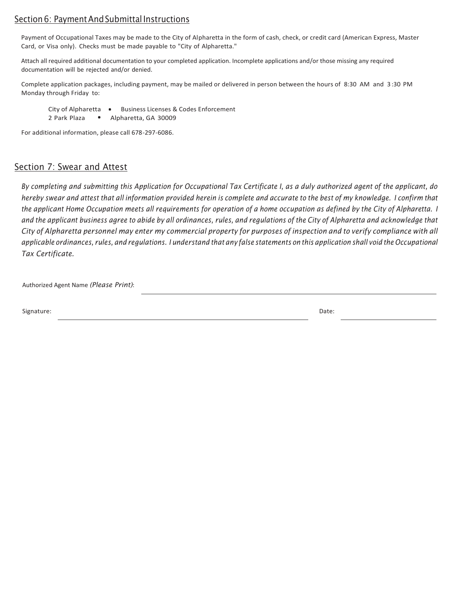#### Section 6: Payment And Submittal Instructions

Payment of Occupational Taxes may be made to the City of Alpharetta in the form of cash, check, or credit card (American Express, Master Card, or Visa only). Checks must be made payable to "City of Alpharetta."

Attach all required additional documentation to your completed application. Incomplete applications and/or those missing any required documentation will be rejected and/or denied.

Complete application packages, including payment, may be mailed or delivered in person between the hours of 8:30 AM and 3 :30 PM Monday through Friday to:

City of Alpharetta . Business Licenses & Codes Enforcement

2 Park Plaza . Alpharetta, GA 30009

For additional information, please call 678-297-6086.

#### Section 7: Swear and Attest

By completing and submitting this Application for Occupational Tax Certificate I, as a duly authorized agent of the applicant, do hereby swear and attest that all information provided herein is complete and accurate to the best of my knowledge. I confirm that the applicant Home Occupation meets all requirements for operation of a home occupation as defined by the City of Alpharetta. I and the applicant business agree to abide by all ordinances, rules, and regulations of the City of Alpharetta and acknowledge that City of Alpharetta personnel may enter my commercial property for purposes of inspection and to verify compliance with all applicable ordinances, rules, and regulations. I understand that any false statements on this application shall void the Occupational *Tax Certificate.*

Authorized Agent Name *(Please Print)*:

Signature: Date: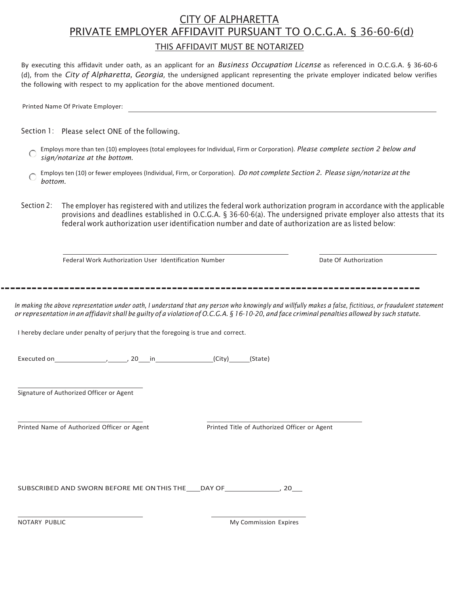# CITY OF ALPHARETTA PRIVATE EMPLOYER AFFIDAVIT PURSUANT TO O.C.G.A. § 36-60-6(d)

#### THIS AFFIDAVIT MUST BE NOTARIZED

By executing this affidavit under oath, as an applicant for an *Business Occupation License* as referenced in O.C.G.A. § 36-60-6 (d), from the *City of Alpharetta, Georgia*, the undersigned applicant representing the private employer indicated below verifies the following with respect to my application for the above mentioned document.

Section 1: Please select ONE of the following.

- Employs more than ten (10) employees (total employees for Individual, Firm or Corporation). *Please complete section 2 below and*   $\bigcirc$ *sign/notarize at the bottom.*
- Employs ten (10) or fewer employees (Individual, Firm, or Corporation). *Do not complete Section 2. Please sign/notarize atthe bottom.*
- Section 2: The employer has registered with and utilizes the federal work authorization program in accordance with the applicable provisions and deadlines established in O.C.G.A. § 36-60-6(a). The undersigned private employer also attests that its federal work authorization user identification number and date of authorization are as listed below:

Federal Work Authorization User Identification Number **Date Communist Construction** Date Of Authorization

In making the above representation under oath, I understand that any person who knowingly and willfully makes a false, fictitious, or fraudulent statement or representation in an affidavit shall be guilty of a violation of O.C.G.A. § 16-10-20, and face criminal penalties allowed by such statute.

I hereby declare under penalty of perjury that the foregoing is true and correct.

Executed on  $\qquad \qquad \qquad$  ,  $\qquad \qquad$  20 in  $\qquad \qquad$  (City) (State)

Signature of Authorized Officer or Agent

Printed Name of Authorized Officer or Agent Printed Title of Authorized Officer or Agent

SUBSCRIBED AND SWORN BEFORE ME ON THIS THE \_\_\_\_DAY OF \_\_\_\_\_\_\_\_\_\_\_\_\_\_\_\_\_\_\_\_\_\_\_\_\_\_\_ 20\_\_\_

NOTARY PUBLIC My Commission Expires